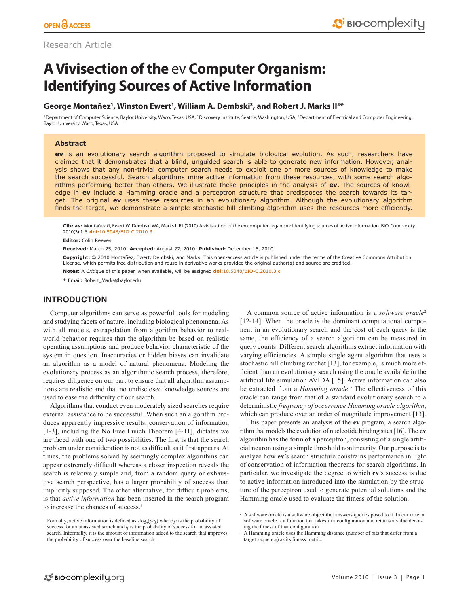# Research Article

# **A Vivisection of the** ev **Computer Organism: Identifying Sources of Active Information**

# George Montañez<sup>1</sup>, Winston Ewert<sup>1</sup>, William A. Dembski<sup>2</sup>, and Robert J. Marks II<sup>3\*</sup>

<sup>1</sup> Department of Computer Science, Baylor University, Waco, Texas, USA; <sup>2</sup> Discovery Institute, Seattle, Washington, USA; <sup>3</sup> Department of Electrical and Computer Engineering, Baylor University, Waco, Texas, USA

## **Abstract**

**ev** is an evolutionary search algorithm proposed to simulate biological evolution. As such, researchers have claimed that it demonstrates that a blind, unguided search is able to generate new information. However, analysis shows that any non-trivial computer search needs to exploit one or more sources of knowledge to make the search successful. Search algorithms mine active information from these resources, with some search algorithms performing better than others. We illustrate these principles in the analysis of **ev**. The sources of knowledge in **ev** include a Hamming oracle and a perceptron structure that predisposes the search towards its target. The original **ev** uses these resources in an evolutionary algorithm. Although the evolutionary algorithm finds the target, we demonstrate a simple stochastic hill climbing algorithm uses the resources more efficiently.

**Cite as:** Montañez G, Ewert W, Dembski WA, Marks II RJ (2010) A vivisection of the ev computer organism: Identifying sources of active information. BIO-Complexity 2010(3):1-6. **doi:**[10.5048/BIO-C.2010.3](http://dx.doi.org/10.5048/BIO-C.2010.3)

**Editor:** Colin Reeves

**Received:** March 25, 2010; **Accepted:** August 27, 2010; **Published:** December 15, 2010

**Copyright:** © 2010 Montañez, Ewert, Dembski, and Marks. This open-access article is published under the terms of the Creative Commons Attribution License, which permits free distribution and reuse in derivative works provided the original author(s) and source are credited.

**Notes:** A *Critique* of this paper, when available, will be assigned **doi:**[10.5048/BIO-C.2010.3.c.](http://dx.doi.org/10.5048/BIO-C.2010.3.c)

**\*** Email: [Robert\\_Marks@baylor.edu](mailto:Robert_Marks@baylor.edu)

# **INTRODUCTION**

Computer algorithms can serve as powerful tools for modeling and studying facets of nature, including biological phenomena. As with all models, extrapolation from algorithm behavior to realworld behavior requires that the algorithm be based on realistic operating assumptions and produce behavior characteristic of the system in question. Inaccuracies or hidden biases can invalidate an algorithm as a model of natural phenomena. Modeling the evolutionary process as an algorithmic search process, therefore, requires diligence on our part to ensure that all algorithm assumptions are realistic and that no undisclosed knowledge sources are used to ease the difficulty of our search.

Algorithms that conduct even moderately sized searches require external assistance to be successful. When such an algorithm produces apparently impressive results, conservation of information [1-3], including the No Free Lunch Theorem [4-11], dictates we are faced with one of two possibilities. The first is that the search problem under consideration is not as difficult as it first appears. At times, the problems solved by seemingly complex algorithms can appear extremely difficult whereas a closer inspection reveals the search is relatively simple and, from a random query or exhaustive search perspective, has a larger probability of success than implicitly supposed. The other alternative, for difficult problems, is that *active information* has been inserted in the search program to increase the chances of success.<sup>1</sup>

<sup>1</sup> Formally, active information is defined as  $-\log_2(p/q)$  where *p* is the probability of success for an unassisted search and *q* is the probability of success for an assisted search. Informally, it is the amount of information added to the search that improves the probability of success over the baseline search.

A common source of active information is a *software oracle*<sup>2</sup> [12-14]. When the oracle is the dominant computational component in an evolutionary search and the cost of each query is the same, the efficiency of a search algorithm can be measured in query counts. Different search algorithms extract information with varying efficiencies. A simple single agent algorithm that uses a stochastic hill climbing ratchet [13], for example, is much more efficient than an evolutionary search using the oracle available in the artificial life simulation AVIDA [15]. Active information can also be extracted from a *Hamming oracle*. 3 The effectiveness of this oracle can range from that of a standard evolutionary search to a deterministic *frequency of occurrence Hamming oracle algorithm*, which can produce over an order of magnitude improvement [13].

This paper presents an analysis of the **ev** program, a search algorithm that models the evolution of nucleotide binding sites [16]. The **ev** algorithm has the form of a perceptron, consisting of a single artificial neuron using a simple threshold nonlinearity. Our purpose is to analyze how **ev**'s search structure constrains performance in light of conservation of information theorems for search algorithms. In particular, we investigate the degree to which **ev**'s success is due to active information introduced into the simulation by the structure of the perceptron used to generate potential solutions and the Hamming oracle used to evaluate the fitness of the solution.

<sup>&</sup>lt;sup>2</sup> A software oracle is a software object that answers queries posed to it. In our case, a software oracle is a function that takes in a configuration and returns a value denoting the fitness of that configuration.

<sup>&</sup>lt;sup>3</sup> A Hamming oracle uses the Hamming distance (number of bits that differ from a target sequence) as its fitness metric.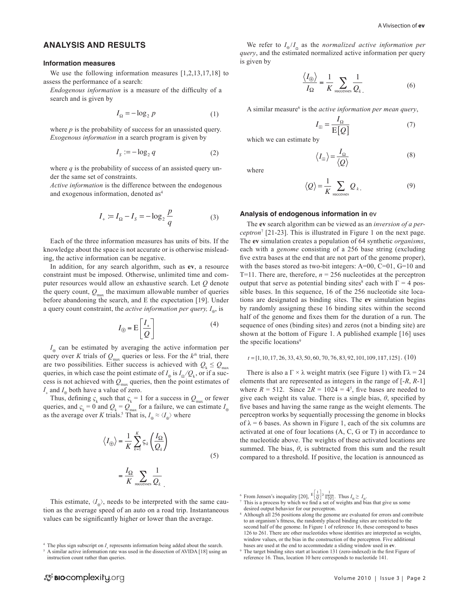## **ANALYSIS AND RESULTS**

### **Information measures**

We use the following information measures [1,2,13,17,18] to assess the performance of a search:

*Endogenous information* is a measure of the difficulty of a search and is given by

$$
I_{\Omega} = -\log_2 p \tag{1}
$$

where *p* is the probability of success for an unassisted query. *Exogenous information* in a search program is given by

$$
I_s := -\log_2 q \tag{2}
$$

where  $q$  is the probability of success of an assisted query under the same set of constraints.

*Active information* is the difference between the endogenous and exogenous information, denoted as4

$$
I_{+} \coloneqq I_{\Omega} - I_{S} = -\log_{2} \frac{p}{q} \tag{3}
$$

Each of the three information measures has units of bits. If the knowledge about the space is not accurate or is otherwise misleading, the active information can be negative.

In addition, for any search algorithm, such as **ev**, a resource constraint must be imposed. Otherwise, unlimited time and computer resources would allow an exhaustive search. Let *Q* denote the query count,  $Q_{\text{max}}$  the maximum allowable number of queries before abandoning the search, and E the expectation [19]. Under a query count constraint, the *active information per query, I*⊕, is

$$
I_{\oplus} = \mathcal{E}\left[\frac{I_{+}}{Q}\right] \tag{4}
$$

*I*<sub>⊕</sub> can be estimated by averaging the active information per query over *K* trials of  $Q_{\text{max}}$  queries or less. For the  $k^{th}$  trial, there are two possibilities. Either success is achieved with  $Q_k \leq Q_{\text{max}}$ queries, in which case the point estimate of  $I_{\text{m}}$  is  $I_{\text{o}}/Q_k$ , or if a success is not achieved with  $Q_{\text{max}}$  queries, then the point estimates of  $I_{+}$  and  $I_{\oplus}$  both have a value of zero.

Thus, defining  $\varsigma_k$  such that  $\varsigma_k = 1$  for a success in  $Q_{\text{max}}$  or fewer queries, and  $\varsigma_k = 0$  and  $Q_k = Q_{max}$  for a failure, we can estimate  $I_{\oplus}$ as the average over *K* trials.<sup>5</sup> That is,  $I_{\varphi} \approx \langle I_{\varphi} \rangle$  where

$$
\langle I_{\oplus} \rangle = \frac{1}{K} \sum_{k=1}^{K} \varsigma_{k} \left( \frac{I_{\Omega}}{Q_{k}} \right)
$$

$$
= \frac{I_{\Omega}}{K} \sum_{\text{successes}} \frac{1}{Q_{k}} \tag{5}
$$

This estimate,  $\langle I_{\rm e} \rangle$ , needs to be interpreted with the same caution as the average speed of an auto on a road trip. Instantaneous values can be significantly higher or lower than the average.

We refer to  $I_{\phi}/I_{\alpha}$  as the *normalized active information per query*, and the estimated normalized active information per query is given by

$$
\frac{\langle I_{\oplus} \rangle}{I_{\Omega}} = \frac{1}{K} \sum_{\text{successes}} \frac{1}{Q_k}.
$$
 (6)

A similar measure<sup>6</sup> is the *active information per mean query*,

$$
I_{\rm H} = \frac{I_{\Omega}}{\rm E}[Q] \tag{7}
$$

which we can estimate by

$$
\langle I_{\rm \oplus} \rangle = \frac{I_{\Omega}}{\langle Q \rangle} \tag{8}
$$

where

$$
\langle \mathcal{Q} \rangle = \frac{1}{K} \sum_{\text{successes}} \mathcal{Q}_{k} \,. \tag{9}
$$

#### **Analysis of endogenous information in** ev

The **ev** search algorithm can be viewed as an *inversion of a perceptron*<sup>7</sup> [21-23]. This is illustrated in Figure 1 on the next page. The **ev** simulation creates a population of 64 synthetic *organisms*, each with a *genome* consisting of a 256 base string (excluding five extra bases at the end that are not part of the genome proper), with the bases stored as two-bit integers: A=00, C=01, G=10 and T=11. There are, therefore,  $n = 256$  nucleotides at the perceptron output that serve as potential binding sites<sup>8</sup> each with  $\Gamma = 4$  possible bases. In this sequence, 16 of the 256 nucleotide site locations are designated as binding sites. The **ev** simulation begins by randomly assigning these 16 binding sites within the second half of the genome and fixes them for the duration of a run. The sequence of ones (binding sites) and zeros (not a binding site) are shown at the bottom of Figure 1. A published example [16] uses the specific locations<sup>9</sup>

```
t = [1, 10, 17, 26, 33, 43, 50, 60, 70, 76, 83, 92, 101, 109, 117, 125]. (10)
```
There is also a  $\Gamma \times \lambda$  weight matrix (see Figure 1) with  $\Gamma \lambda = 24$ elements that are represented as integers in the range of [-*R*, *R*-1] where  $R = 512$ . Since  $2R = 1024 = 4^5$ , five bases are needed to give each weight its value. There is a single bias,  $\theta$ , specified by five bases and having the same range as the weight elements. The perceptron works by sequentially processing the genome in blocks of  $\lambda = 6$  bases. As shown in Figure 1, each of the six columns are activated at one of four locations (A, C, G or T) in accordance to the nucleotide above. The weights of these activated locations are summed. The bias,  $\theta$ , is subtracted from this sum and the result compared to a threshold. If positive, the location is announced as

 $4$  The plus sign subscript on  $I_{+}$  represents information being added about the search.

<sup>&</sup>lt;sup>5</sup> A similar active information rate was used in the dissection of AVIDA [18] using an instruction count rather than queries.

<sup>&</sup>lt;sup>6</sup> From Jensen's inequality [20],  $E\left[\frac{1}{Q}\right] \ge \frac{1}{E\left[Q\right]}$ 

<sup>&</sup>lt;sup>6</sup> From Jensen's inequality [20],  $E\left[\frac{1}{Q}\right] \ge \frac{1}{E(Q)}$ . Thus  $I_{\omega} \ge I_{\omega}$ .<br><sup>7</sup> This is a process by which we find a set of weights and bias that give us some desired output behavior for our perceptron.

<sup>8</sup> Although all 256 positions along the genome are evaluated for errors and contribute to an organism's fitness, the randomly placed binding sites are restricted to the second half of the genome. In Figure 1 of reference 16, these correspond to bases 126 to 261. There are other nucleotides whose identities are interpreted as weights, window values, or the bias in the construction of the perceptron. Five additional bases are used at the end to accommodate a sliding window used in **ev**.

<sup>9</sup> The target binding sites start at location 131 (zero-indexed) in the first Figure of reference 16. Thus, location 10 here corresponds to nucleotide 141.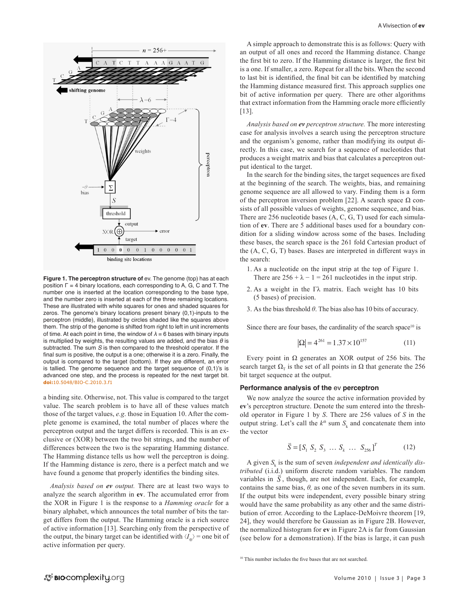

Figure 1. The perceptron structure of ev. The genome (top) has at each position Γ = 4 binary locations, each corresponding to A, G, C and T. The number one is inserted at the location corresponding to the base type, and the number zero is inserted at each of the three remaining locations. These are illustrated with white squares for ones and shaded squares for zeros. The genome's binary locations present binary (0,1)-inputs to the perceptron (middle), illustrated by circles shaded like the squares above them. The strip of the genome is shifted from right to left in unit increments of time. At each point in time, the window of  $\lambda = 6$  bases with binary inputs is multiplied by weights, the resulting values are added, and the bias  $\theta$  is subtracted. The sum *S* is then compared to the threshold operator. If the final sum is positive, the output is a one; otherwise it is a zero. Finally, the output is compared to the target (bottom). If they are different, an error is tallied. The genome sequence and the target sequence of (0,1)'s is advanced one step, and the process is repeated for the next target bit. **doi:**[10.5048/BIO-C.2010.3.f1](http://dx.doi.org/10.5048/BIO-C.2010.3.f1)

a binding site. Otherwise, not. This value is compared to the target value. The search problem is to have all of these values match those of the target values, *e.g*. those in Equation 10. After the complete genome is examined, the total number of places where the perceptron output and the target differs is recorded. This is an exclusive or (XOR) between the two bit strings, and the number of differences between the two is the separating Hamming distance. The Hamming distance tells us how well the perceptron is doing. If the Hamming distance is zero, there is a perfect match and we have found a genome that properly identifies the binding sites.

*Analysis based on ev output.* There are at least two ways to analyze the search algorithm in **ev**. The accumulated error from the XOR in Figure 1 is the response to a *Hamming oracle* for a binary alphabet, which announces the total number of bits the target differs from the output. The Hamming oracle is a rich source of active information [13]. Searching only from the perspective of the output, the binary target can be identified with  $\langle I_{\alpha} \rangle$  = one bit of active information per query.

A simple approach to demonstrate this is as follows: Query with an output of all ones and record the Hamming distance. Change the first bit to zero. If the Hamming distance is larger, the first bit is a one. If smaller, a zero. Repeat for all the bits. When the second to last bit is identified, the final bit can be identified by matching the Hamming distance measured first. This approach supplies one bit of active information per query. There are other algorithms that extract information from the Hamming oracle more efficiently [13].

*Analysis based on ev perceptron structure.* The more interesting case for analysis involves a search using the perceptron structure and the organism's genome, rather than modifying its output directly. In this case, we search for a sequence of nucleotides that produces a weight matrix and bias that calculates a perceptron output identical to the target.

In the search for the binding sites, the target sequences are fixed at the beginning of the search. The weights, bias, and remaining genome sequence are all allowed to vary. Finding them is a form of the perceptron inversion problem [22]. A search space  $\Omega$  consists of all possible values of weights, genome sequence, and bias. There are 256 nucleotide bases (A, C, G, T) used for each simulation of **ev**. There are 5 additional bases used for a boundary condition for a sliding window across some of the bases. Including these bases, the search space is the 261 fold Cartesian product of the (A, C, G, T) bases. Bases are interpreted in different ways in the search:

- 1. As a nucleotide on the input strip at the top of Figure 1. There are  $256 + \lambda - 1 = 261$  nucleotides in the input strip.
- 2. As a weight in the Γλ matrix. Each weight has 10 bits (5 bases) of precision.
- 3. As the bias threshold *θ*. The bias also has 10 bits of accuracy.

Since there are four bases, the cardinality of the search space<sup>10</sup> is

$$
|\Omega| = 4^{261} = 1.37 \times 10^{157}
$$
 (11)

Every point in  $\Omega$  generates an XOR output of 256 bits. The search target  $\Omega$ <sub>T</sub> is the set of all points in  $\Omega$  that generate the 256 bit target sequence at the output.

#### **Performance analysis of the** ev **perceptron**

We now analyze the source the active information provided by **ev**'s perceptron structure. Denote the sum entered into the threshold operator in Figure 1 by *S*. There are 256 values of *S* in the output string. Let's call the  $k^{th}$  sum  $S_k$  and concatenate them into the vector

$$
\vec{S} = [S_1 \ S_2 \ S_3 \ \dots \ S_k \ \dots \ S_{256}]^T \tag{12}
$$

A given  $S_k$  is the sum of seven *independent and identically distributed* (i.i.d.) uniform discrete random variables. The random *tributed* (1.1.d.) uniform discrete random variables. The random variables in  $\overline{S}$ , though, are not independent. Each, for example, contains the same bias,  $\theta$ , as one of the seven numbers in its sum. If the output bits were independent, every possible binary string would have the same probability as any other and the same distribution of error. According to the Laplace-DeMoivre theorem [19, 24], they would therefore be Gaussian as in Figure 2B. However, the normalized histogram for **ev** in Figure 2A is far from Gaussian (see below for a demonstration). If the bias is large, it can push

<sup>10</sup> This number includes the five bases that are not searched.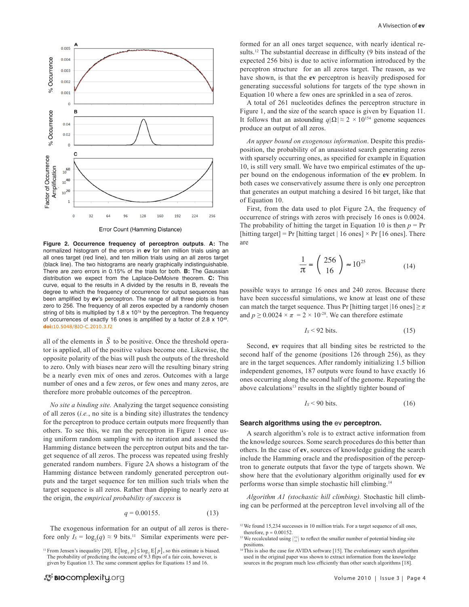

**Figure 2. Occurrence frequency of perceptron outputs**. **A:** The normalized histogram of the errors in **ev** for ten million trials using an all ones target (red line), and ten million trials using an all zeros target (black line). The two histograms are nearly graphically indistinguishable. There are zero errors in 0.15% of the trials for both. **B:** The Gaussian distribution we expect from the Laplace-DeMoivre theorem. **C:** This curve, equal to the results in A divided by the results in B, reveals the degree to which the frequency of occurrence for output sequences has been amplified by **ev**'s perceptron. The range of all three plots is from zero to 256. The frequency of all zeros expected by a randomly chosen string of bits is multiplied by 1.8  $\times$  10<sup>74</sup> by the perceptron. The frequency of occurrences of exactly 16 ones is amplified by a factor of 2.8  $\times$  10<sup>49</sup>. **doi:**[10.5048/BIO-C.2010.3.f2](http://dx.doi.org/10.5048/BIO-C.2010.3.f2)

all of the elements in  $\overline{S}$  to be positive. Once the threshold operator is applied, all of the positive values become one. Likewise, the opposite polarity of the bias will push the outputs of the threshold to zero. Only with biases near zero will the resulting binary string be a nearly even mix of ones and zeros. Outcomes with a large number of ones and a few zeros, or few ones and many zeros, are therefore more probable outcomes of the perceptron.

*No site a binding site.* Analyzing the target sequence consisting of all zeros (*i.e.*, no site is a binding site) illustrates the tendency for the perceptron to produce certain outputs more frequently than others. To see this, we ran the perceptron in Figure 1 once using uniform random sampling with no iteration and assessed the Hamming distance between the perceptron output bits and the target sequence of all zeros. The process was repeated using freshly generated random numbers. Figure 2A shows a histogram of the Hamming distance between randomly generated perceptron outputs and the target sequence for ten million such trials when the target sequence is all zeros. Rather than dipping to nearly zero at the origin, the *empirical probability of success* is

$$
q = 0.00155. \t(13)
$$

The exogenous information for an output of all zeros is therefore only  $I_s = \log_2(q) \approx 9$  bits.<sup>11</sup> Similar experiments were performed for an all ones target sequence, with nearly identical results.<sup>12</sup> The substantial decrease in difficulty (9 bits instead of the expected 256 bits) is due to active information introduced by the perceptron structure for an all zeros target. The reason, as we have shown, is that the **ev** perceptron is heavily predisposed for generating successful solutions for targets of the type shown in Equation 10 where a few ones are sprinkled in a sea of zeros.

A total of 261 nucleotides defines the perceptron structure in Figure 1, and the size of the search space is given by Equation 11. It follows that an astounding  $q|\Omega| \approx 2 \times 10^{154}$  genome sequences produce an output of all zeros.

*An upper bound on exogenous information*. Despite this predisposition, the probability of an unassisted search generating zeros with sparsely occurring ones, as specified for example in Equation 10, is still very small. We have two empirical estimates of the upper bound on the endogenous information of the **ev** problem. In both cases we conservatively assume there is only one perceptron that generates an output matching a desired 16 bit target, like that of Equation 10.

First, from the data used to plot Figure 2A, the frequency of occurrence of strings with zeros with precisely 16 ones is 0.0024. The probability of hitting the target in Equation 10 is then  $p = Pr$ [hitting target] = Pr [hitting target | 16 ones]  $\times$  Pr [16 ones]. There are

$$
\frac{1}{\pi} = \begin{pmatrix} 256 \\ 16 \end{pmatrix} \approx 10^{25} \tag{14}
$$

possible ways to arrange 16 ones and 240 zeros. Because there have been successful simulations, we know at least one of these can match the target sequence. Thus Pr [hitting target  $|16 \text{ ones}| \ge \pi$ and  $p \ge 0.0024 \times \pi = 2 \times 10^{-28}$ . We can therefore estimate

$$
I_s < 92 \text{ bits.} \tag{15}
$$

Second, **ev** requires that all binding sites be restricted to the second half of the genome (positions 126 through 256), as they are in the target sequences. After randomly initializing 1.5 billion independent genomes, 187 outputs were found to have exactly 16 ones occurring along the second half of the genome. Repeating the above calculations<sup>13</sup> results in the slightly tighter bound of

$$
I_S < 90 \text{ bits.} \tag{16}
$$

#### **Search algorithms using the** ev **perceptron.**

A search algorithm's role is to extract active information from the knowledge sources. Some search procedures do this better than others. In the case of **ev**, sources of knowledge guiding the search include the Hamming oracle and the predisposition of the perceptron to generate outputs that favor the type of targets shown. We show here that the evolutionary algorithm originally used for **ev** performs worse than simple stochastic hill climbing.14

*Algorithm A1 (stochastic hill climbing).* Stochastic hill climbing can be performed at the perceptron level involving all of the

<sup>&</sup>lt;sup>11</sup> From Jensen's inequality [20],  $E[\log_2 p] \le \log_2 E[p]$ , so this estimate is biased. The probability of predicting the outcome of 9.3 flips of a fair coin, however, is given by Equation 13. The same comment applies for Equations 15 and 16.

<sup>&</sup>lt;sup>12</sup> We found 15,234 successes in 10 million trials. For a target sequence of all ones, therefore,  $p \approx 0.00152$ 

<sup>&</sup>lt;sup>13</sup> We recalculated using  $\binom{131}{16}$  to reflect the smaller number of potential binding site positions.

<sup>&</sup>lt;sup>14</sup>This is also the case for AVIDA software [15]. The evolutionary search algorithm used in the original paper was shown to extract information from the knowledge sources in the program much less efficiently than other search algorithms [18].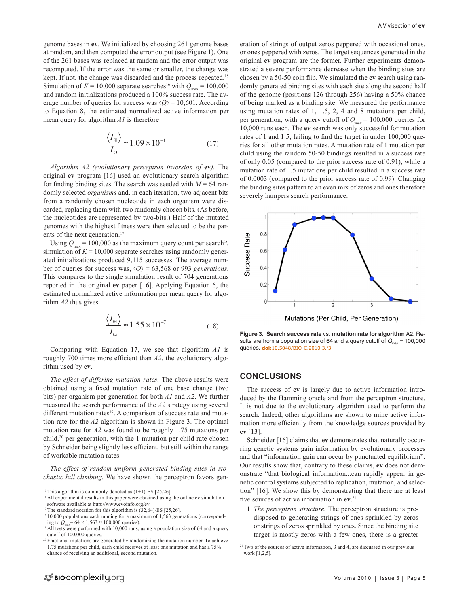genome bases in **ev**. We initialized by choosing 261 genome bases at random, and then computed the error output (see Figure 1). One of the 261 bases was replaced at random and the error output was recomputed. If the error was the same or smaller, the change was kept. If not, the change was discarded and the process repeated.<sup>15</sup> Simulation of  $K = 10,000$  separate searches<sup>16</sup> with  $Q_{\text{max}} = 100,000$ and random initializations produced a 100% success rate. The average number of queries for success was  $\langle \mathcal{O} \rangle = 10,601$ . According to Equation 8, the estimated normalized active information per mean query for algorithm *A1* is therefore

$$
\frac{\langle I_{\text{H}}\rangle}{I_{\Omega}} \approx 1.09 \times 10^{-4} \tag{17}
$$

*Algorithm A2 (evolutionary perceptron inversion of* **ev***).* The original **ev** program [16] used an evolutionary search algorithm for finding binding sites. The search was seeded with  $M = 64$  randomly selected *organisms* and, in each iteration, two adjacent bits from a randomly chosen nucleotide in each organism were discarded, replacing them with two randomly chosen bits. (As before, the nucleotides are represented by two-bits.) Half of the mutated genomes with the highest fitness were then selected to be the parents of the next generation.<sup>17</sup>

Using  $Q_{\text{max}} = 100,000$  as the maximum query count per search<sup>18</sup>, simulation of  $K = 10,000$  separate searches using randomly generated initializations produced 9,115 successes. The average number of queries for success was, ⟨*Q*⟩ = 63,568 or 993 *generations*. This compares to the single simulation result of 704 generations reported in the original **ev** paper [16]. Applying Equation 6, the estimated normalized active information per mean query for algorithm *A2* thus gives

$$
\frac{\langle I_{\text{H}}\rangle}{I_{\Omega}} \approx 1.55 \times 10^{-7}
$$
 (18)

Comparing with Equation 17, we see that algorithm *A1* is roughly 700 times more efficient than *A2*, the evolutionary algorithm used by **ev**.

*The effect of differing mutation rates.* The above results were obtained using a fixed mutation rate of one base change (two bits) per organism per generation for both *A1* and *A2*. We further measured the search performance of the *A2* strategy using several different mutation rates<sup>19</sup>. A comparison of success rate and mutation rate for the *A2* algorithm is shown in Figure 3. The optimal mutation rate for *A2* was found to be roughly 1.75 mutations per child,20 per generation, with the 1 mutation per child rate chosen by Schneider being slightly less efficient, but still within the range of workable mutation rates.

*The effect of random uniform generated binding sites in stochastic hill climbing.* We have shown the perceptron favors gen-

<sup>16</sup> All experimental results in this paper were obtained using the online ev simulation software available at http://www.evoinfo.org/ev.

- <sup>17</sup>The standard notation for this algorithm is  $(32, 64)$ -ES [25,26].
- <sup>18</sup> 10,000 populations each running for a maximum of 1,563 generations (corresponding to  $Q_{\text{max}} = 64 \times 1,563 \approx 100,000$  queries).

eration of strings of output zeros peppered with occasional ones, or ones peppered with zeros. The target sequences generated in the original **ev** program are the former. Further experiments demonstrated a severe performance decrease when the binding sites are chosen by a 50-50 coin flip. We simulated the **ev** search using randomly generated binding sites with each site along the second half of the genome (positions 126 through 256) having a 50% chance of being marked as a binding site. We measured the performance using mutation rates of 1, 1.5, 2, 4 and 8 mutations per child, per generation, with a query cutoff of  $Q_{\text{max}} = 100,000$  queries for 10,000 runs each. The **ev** search was only successful for mutation rates of 1 and 1.5, failing to find the target in under 100,000 queries for all other mutation rates. A mutation rate of 1 mutation per child using the random 50-50 bindings resulted in a success rate of only 0.05 (compared to the prior success rate of 0.91), while a mutation rate of 1.5 mutations per child resulted in a success rate of 0.0003 (compared to the prior success rate of 0.99). Changing the binding sites pattern to an even mix of zeros and ones therefore severely hampers search performance.



**Figure 3. Search success rate** vs. **mutation rate for algorithm** A2. Results are from a population size of 64 and a query cutoff of  $Q_{\text{max}} = 100,000$ queries**. doi:**[10.5048/BIO-C.2010.3.f3](http://dx.doi.org/10.5048/BIO-C.2010.3.f3)

## **CONCLUSIONS**

The success of **ev** is largely due to active information introduced by the Hamming oracle and from the perceptron structure. It is not due to the evolutionary algorithm used to perform the search. Indeed, other algorithms are shown to mine active information more efficiently from the knowledge sources provided by **ev** [13].

Schneider [16] claims that **ev** demonstrates that naturally occurring genetic systems gain information by evolutionary processes and that "information gain can occur by punctuated equilibrium". Our results show that, contrary to these claims, **ev** does not demonstrate "that biological information...can rapidly appear in genetic control systems subjected to replication, mutation, and selection" [16]. We show this by demonstrating that there are at least five sources of active information in **ev**. 21

1. *The perceptron structure.* The perceptron structure is predisposed to generating strings of ones sprinkled by zeros or strings of zeros sprinkled by ones. Since the binding site target is mostly zeros with a few ones, there is a greater

<sup>&</sup>lt;sup>15</sup>This algorithm is commonly denoted as  $(1+1)$ -ES [25,26].

<sup>&</sup>lt;sup>19</sup> All tests were performed with 10,000 runs, using a population size of 64 and a query cutoff of 100,000 queries.

<sup>20</sup>Fractional mutations are generated by randomizing the mutation number. To achieve 1.75 mutations per child, each child receives at least one mutation and has a 75% chance of receiving an additional, second mutation.

<sup>21</sup>Two of the sources of active information, 3 and 4, are discussed in our previous work [1,2,5].